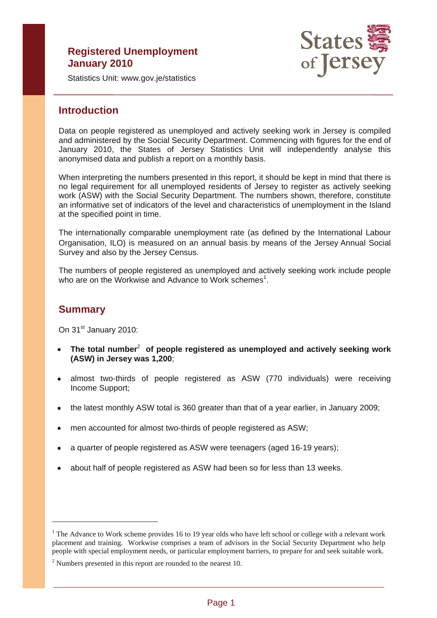# **Registered Unemployment January 2010**



Statistics Unit: www.gov.je/statistics

# **Introduction**

Data on people registered as unemployed and actively seeking work in Jersey is compiled and administered by the Social Security Department. Commencing with figures for the end of January 2010, the States of Jersey Statistics Unit will independently analyse this anonymised data and publish a report on a monthly basis.

When interpreting the numbers presented in this report, it should be kept in mind that there is no legal requirement for all unemployed residents of Jersey to register as actively seeking work (ASW) with the Social Security Department. The numbers shown, therefore, constitute an informative set of indicators of the level and characteristics of unemployment in the Island at the specified point in time.

The internationally comparable unemployment rate (as defined by the International Labour Organisation, ILO) is measured on an annual basis by means of the Jersey Annual Social Survey and also by the Jersey Census.

The numbers of people registered as unemployed and actively seeking work include people who are on the Workwise and Advance to Work schemes<sup>1</sup>.

# **Summary**

 $\overline{a}$ 

On 31<sup>st</sup> January 2010:

- • **The total number**<sup>2</sup> **of people registered as unemployed and actively seeking work (ASW) in Jersey was 1,200**;
- almost two-thirds of people registered as ASW (770 individuals) were receiving Income Support;
- the latest monthly ASW total is 360 greater than that of a year earlier, in January 2009;
- men accounted for almost two-thirds of people registered as ASW;
- a quarter of people registered as ASW were teenagers (aged 16-19 years);
- about half of people registered as ASW had been so for less than 13 weeks.

<sup>&</sup>lt;sup>1</sup> The Advance to Work scheme provides 16 to 19 year olds who have left school or college with a relevant work placement and training. Workwise comprises a team of advisors in the Social Security Department who help people with special employment needs, or particular employment barriers, to prepare for and seek suitable work.

 $2$  Numbers presented in this report are rounded to the nearest 10.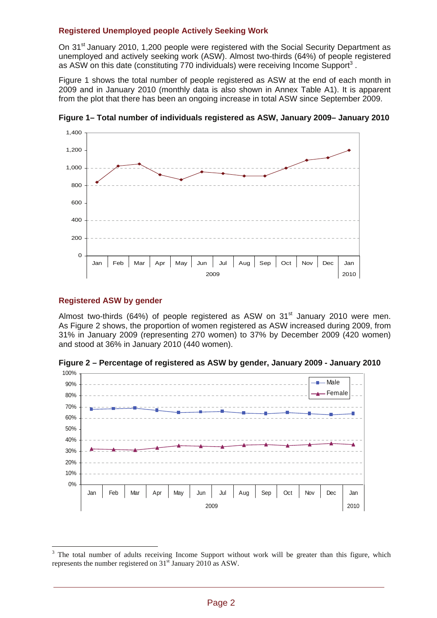## **Registered Unemployed people Actively Seeking Work**

On 31<sup>st</sup> January 2010, 1,200 people were registered with the Social Security Department as unemployed and actively seeking work (ASW). Almost two-thirds (64%) of people registered as ASW on this date (constituting 770 individuals) were receiving Income Support<sup>3</sup>.

Figure 1 shows the total number of people registered as ASW at the end of each month in 2009 and in January 2010 (monthly data is also shown in Annex Table A1). It is apparent from the plot that there has been an ongoing increase in total ASW since September 2009.



**Figure 1– Total number of individuals registered as ASW, January 2009– January 2010** 

# **Registered ASW by gender**

 $\overline{a}$ 

Almost two-thirds (64%) of people registered as ASW on  $31<sup>st</sup>$  January 2010 were men. As Figure 2 shows, the proportion of women registered as ASW increased during 2009, from 31% in January 2009 (representing 270 women) to 37% by December 2009 (420 women) and stood at 36% in January 2010 (440 women).

**Figure 2 – Percentage of registered as ASW by gender, January 2009 - January 2010** 



 $3$  The total number of adults receiving Income Support without work will be greater than this figure, which represents the number registered on  $31<sup>st</sup>$  January 2010 as ASW.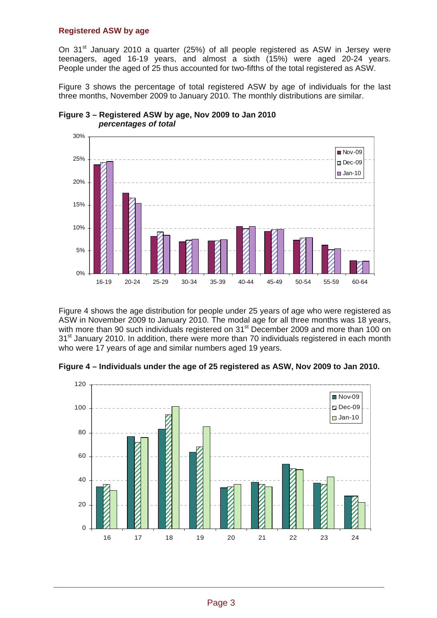## **Registered ASW by age**

On 31<sup>st</sup> January 2010 a quarter (25%) of all people registered as ASW in Jersey were teenagers, aged 16-19 years, and almost a sixth (15%) were aged 20-24 years. People under the aged of 25 thus accounted for two-fifths of the total registered as ASW.

Figure 3 shows the percentage of total registered ASW by age of individuals for the last three months, November 2009 to January 2010. The monthly distributions are similar.



**Figure 3 – Registered ASW by age, Nov 2009 to Jan 2010**   *percentages of total* 

Figure 4 shows the age distribution for people under 25 years of age who were registered as ASW in November 2009 to January 2010. The modal age for all three months was 18 years, with more than 90 such individuals registered on 31<sup>st</sup> December 2009 and more than 100 on 31<sup>st</sup> January 2010. In addition, there were more than 70 individuals registered in each month who were 17 years of age and similar numbers aged 19 years.

**Figure 4 – Individuals under the age of 25 registered as ASW, Nov 2009 to Jan 2010.** 

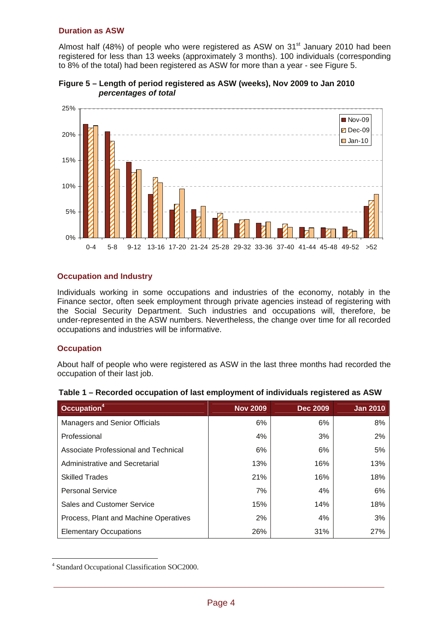## **Duration as ASW**

Almost half (48%) of people who were registered as ASW on  $31<sup>st</sup>$  January 2010 had been registered for less than 13 weeks (approximately 3 months). 100 individuals (corresponding to 8% of the total) had been registered as ASW for more than a year - see Figure 5.



**Figure 5 – Length of period registered as ASW (weeks), Nov 2009 to Jan 2010**   *percentages of total* 

# **Occupation and Industry**

Individuals working in some occupations and industries of the economy, notably in the Finance sector, often seek employment through private agencies instead of registering with the Social Security Department. Such industries and occupations will, therefore, be under-represented in the ASW numbers. Nevertheless, the change over time for all recorded occupations and industries will be informative.

## **Occupation**

 $\overline{a}$ 

About half of people who were registered as ASW in the last three months had recorded the occupation of their last job.

| Table 1 – Recorded occupation of last employment of individuals registered as ASW |                 |                 |                 |  |  |  |  |  |  |
|-----------------------------------------------------------------------------------|-----------------|-----------------|-----------------|--|--|--|--|--|--|
| Occupation <sup>4</sup>                                                           | <b>Nov 2009</b> | <b>Dec 2009</b> | <b>Jan 2010</b> |  |  |  |  |  |  |
| <b>Managers and Senior Officials</b>                                              | 6%              | 6%              | 8%              |  |  |  |  |  |  |
| Professional                                                                      | 4%              | 3%              | $2\%$           |  |  |  |  |  |  |
| Associate Professional and Technical                                              | 6%              | 6%              | 5%              |  |  |  |  |  |  |
| Administrative and Secretarial                                                    | 13%             | 16%             | 13%             |  |  |  |  |  |  |
| <b>Skilled Trades</b>                                                             | 21%             | 16%             | 18%             |  |  |  |  |  |  |
| <b>Personal Service</b>                                                           | 7%              | 4%              | 6%              |  |  |  |  |  |  |
| Sales and Customer Service                                                        | 15%             | 14%             | 18%             |  |  |  |  |  |  |
| Process, Plant and Machine Operatives                                             | 2%              | 4%              | 3%              |  |  |  |  |  |  |
| <b>Elementary Occupations</b>                                                     | 26%             | 31%             | 27%             |  |  |  |  |  |  |

|  | Table 1 – Recorded occupation of last employment of individuals registered as ASW |  |  |  |
|--|-----------------------------------------------------------------------------------|--|--|--|
|--|-----------------------------------------------------------------------------------|--|--|--|

<sup>4</sup> Standard Occupational Classification SOC2000.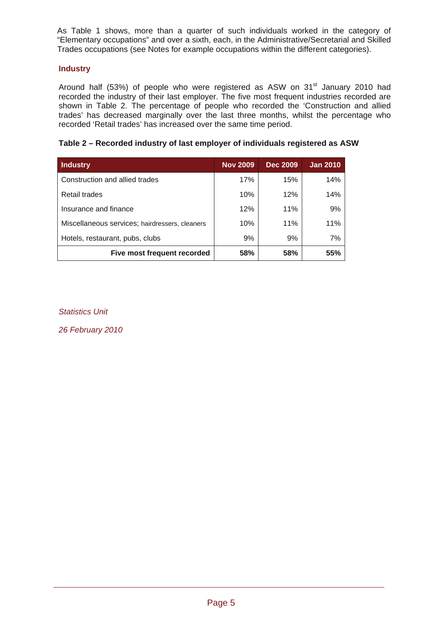As Table 1 shows, more than a quarter of such individuals worked in the category of "Elementary occupations" and over a sixth, each, in the Administrative/Secretarial and Skilled Trades occupations (see Notes for example occupations within the different categories).

# **Industry**

Around half (53%) of people who were registered as ASW on  $31<sup>st</sup>$  January 2010 had recorded the industry of their last employer. The five most frequent industries recorded are shown in Table 2. The percentage of people who recorded the 'Construction and allied trades' has decreased marginally over the last three months, whilst the percentage who recorded 'Retail trades' has increased over the same time period.

# **Table 2 – Recorded industry of last employer of individuals registered as ASW**

| <b>Industry</b>                                | <b>Nov 2009</b> | <b>Dec 2009</b> | <b>Jan 2010</b> |
|------------------------------------------------|-----------------|-----------------|-----------------|
| Construction and allied trades                 | 17%             | 15%             | 14%             |
| Retail trades                                  | 10%             | 12%             | 14%             |
| Insurance and finance                          | 12%             | 11%             | 9%              |
| Miscellaneous services; hairdressers, cleaners | 10%             | 11%             | 11%             |
| Hotels, restaurant, pubs, clubs                | 9%              | 9%              | 7%              |
| Five most frequent recorded                    | 58%             | 58%             | 55%             |

*Statistics Unit* 

*26 February 2010*